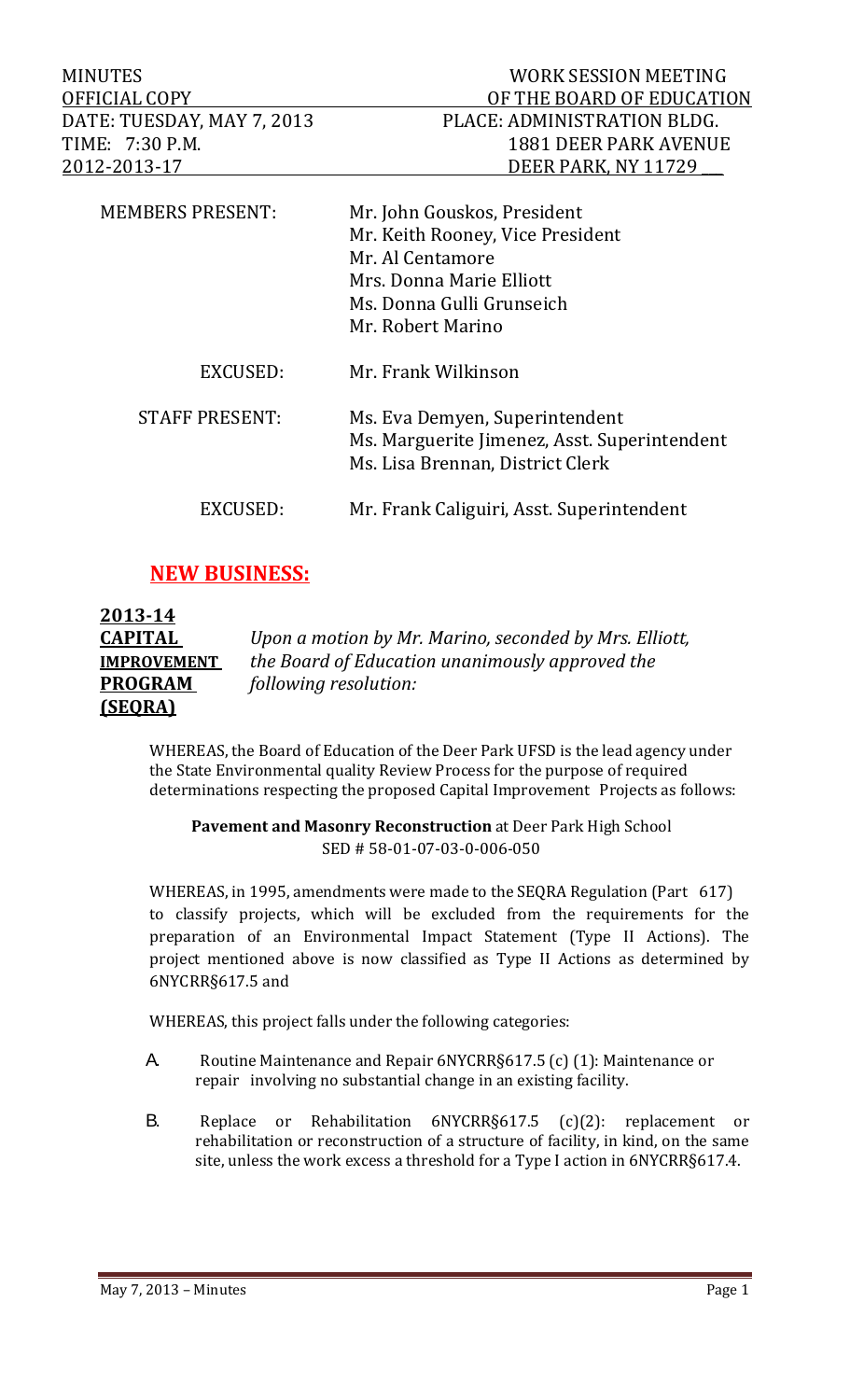MINUTES WORK SESSION MEETING

| <b>MEMBERS PRESENT:</b> | Mr. John Gouskos, President<br>Mr. Keith Rooney, Vice President<br>Mr. Al Centamore<br>Mrs. Donna Marie Elliott<br>Ms. Donna Gulli Grunseich<br>Mr. Robert Marino |
|-------------------------|-------------------------------------------------------------------------------------------------------------------------------------------------------------------|
| EXCUSED:                | Mr. Frank Wilkinson                                                                                                                                               |
| <b>STAFF PRESENT:</b>   | Ms. Eva Demyen, Superintendent<br>Ms. Marguerite Jimenez, Asst. Superintendent<br>Ms. Lisa Brennan, District Clerk                                                |
| EXCUSED:                | Mr. Frank Caliguiri, Asst. Superintendent                                                                                                                         |

## **NEW BUSINESS:**

| 2013-14            |                                                        |
|--------------------|--------------------------------------------------------|
| <b>CAPITAL</b>     | Upon a motion by Mr. Marino, seconded by Mrs. Elliott, |
| <b>IMPROVEMENT</b> | the Board of Education unanimously approved the        |
| <b>PROGRAM</b>     | following resolution:                                  |
| <b>(SEQRA)</b>     |                                                        |

WHEREAS, the Board of Education of the Deer Park UFSD is the lead agency under the State Environmental quality Review Process for the purpose of required determinations respecting the proposed Capital Improvement Projects as follows:

**Pavement and Masonry Reconstruction** at Deer Park High School SED # 58‐01‐07‐03‐0‐006‐050 

WHEREAS, in 1995, amendments were made to the SEQRA Regulation (Part  $617$ ) to classify projects, which will be excluded from the requirements for the preparation of an Environmental Impact Statement (Type II Actions). The project mentioned above is now classified as Type II Actions as determined by 6NYCRR§617.5 and 

WHEREAS, this project falls under the following categories:

- A. Routine Maintenance and Repair 6NYCRR§617.5 (c) (1): Maintenance or repair involving no substantial change in an existing facility.
- B. Replace or Rehabilitation 6NYCRR§617.5 (c)(2): replacement or rehabilitation or reconstruction of a structure of facility, in kind, on the same site, unless the work excess a threshold for a Type I action in 6NYCRR§617.4.